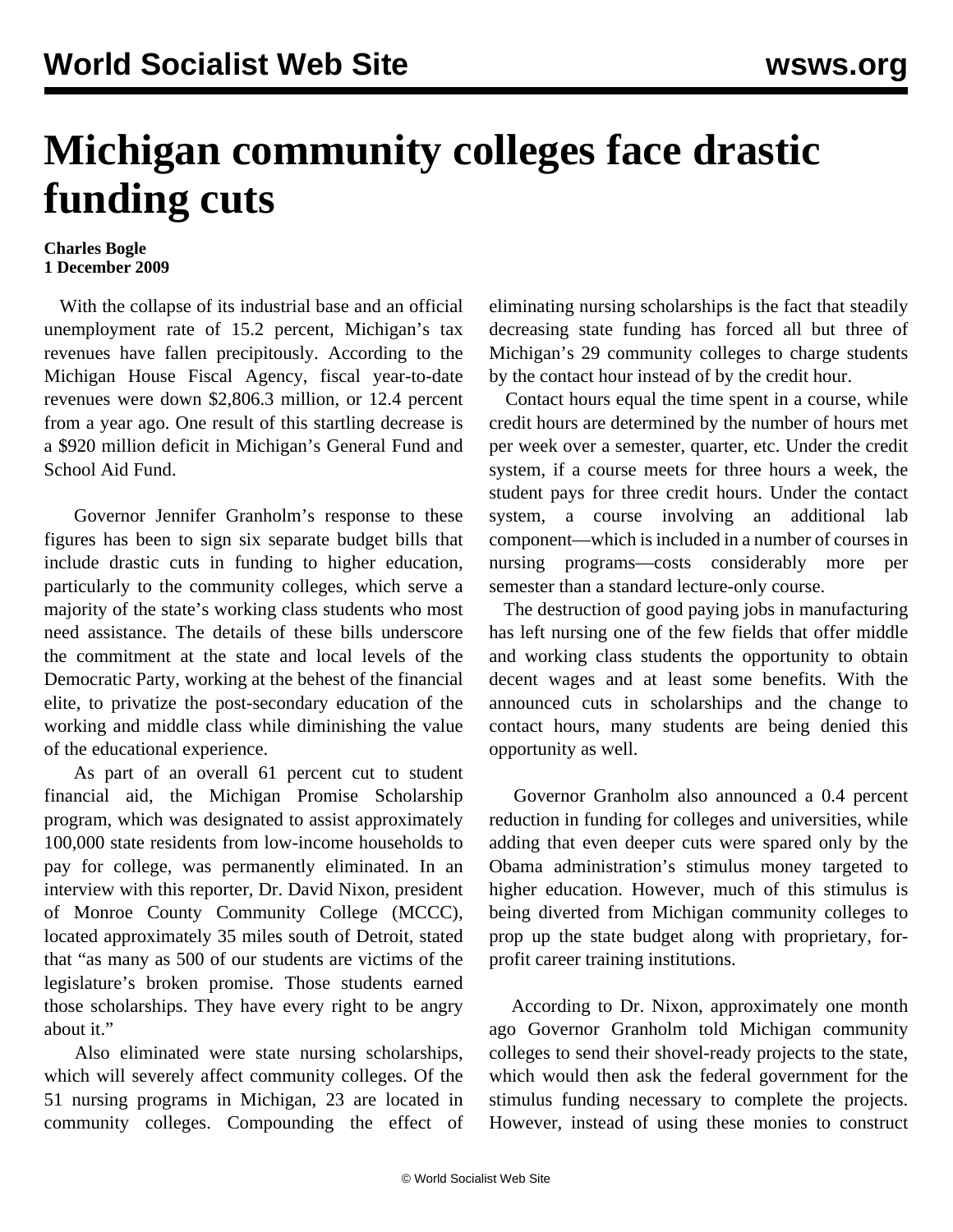## **Michigan community colleges face drastic funding cuts**

## **Charles Bogle 1 December 2009**

 With the collapse of its industrial base and an official unemployment rate of 15.2 percent, Michigan's tax revenues have fallen precipitously. According to the Michigan House Fiscal Agency, fiscal year-to-date revenues were down \$2,806.3 million, or 12.4 percent from a year ago. One result of this startling decrease is a \$920 million deficit in Michigan's General Fund and School Aid Fund.

 Governor Jennifer Granholm's response to these figures has been to sign six separate budget bills that include drastic cuts in funding to higher education, particularly to the community colleges, which serve a majority of the state's working class students who most need assistance. The details of these bills underscore the commitment at the state and local levels of the Democratic Party, working at the behest of the financial elite, to privatize the post-secondary education of the working and middle class while diminishing the value of the educational experience.

 As part of an overall 61 percent cut to student financial aid, the Michigan Promise Scholarship program, which was designated to assist approximately 100,000 state residents from low-income households to pay for college, was permanently eliminated. In an interview with this reporter, Dr. David Nixon, president of Monroe County Community College (MCCC), located approximately 35 miles south of Detroit, stated that "as many as 500 of our students are victims of the legislature's broken promise. Those students earned those scholarships. They have every right to be angry about it."

 Also eliminated were state nursing scholarships, which will severely affect community colleges. Of the 51 nursing programs in Michigan, 23 are located in community colleges. Compounding the effect of eliminating nursing scholarships is the fact that steadily decreasing state funding has forced all but three of Michigan's 29 community colleges to charge students by the contact hour instead of by the credit hour.

 Contact hours equal the time spent in a course, while credit hours are determined by the number of hours met per week over a semester, quarter, etc. Under the credit system, if a course meets for three hours a week, the student pays for three credit hours. Under the contact system, a course involving an additional lab component—which is included in a number of courses in nursing programs—costs considerably more per semester than a standard lecture-only course.

 The destruction of good paying jobs in manufacturing has left nursing one of the few fields that offer middle and working class students the opportunity to obtain decent wages and at least some benefits. With the announced cuts in scholarships and the change to contact hours, many students are being denied this opportunity as well.

 Governor Granholm also announced a 0.4 percent reduction in funding for colleges and universities, while adding that even deeper cuts were spared only by the Obama administration's stimulus money targeted to higher education. However, much of this stimulus is being diverted from Michigan community colleges to prop up the state budget along with proprietary, forprofit career training institutions.

 According to Dr. Nixon, approximately one month ago Governor Granholm told Michigan community colleges to send their shovel-ready projects to the state, which would then ask the federal government for the stimulus funding necessary to complete the projects. However, instead of using these monies to construct